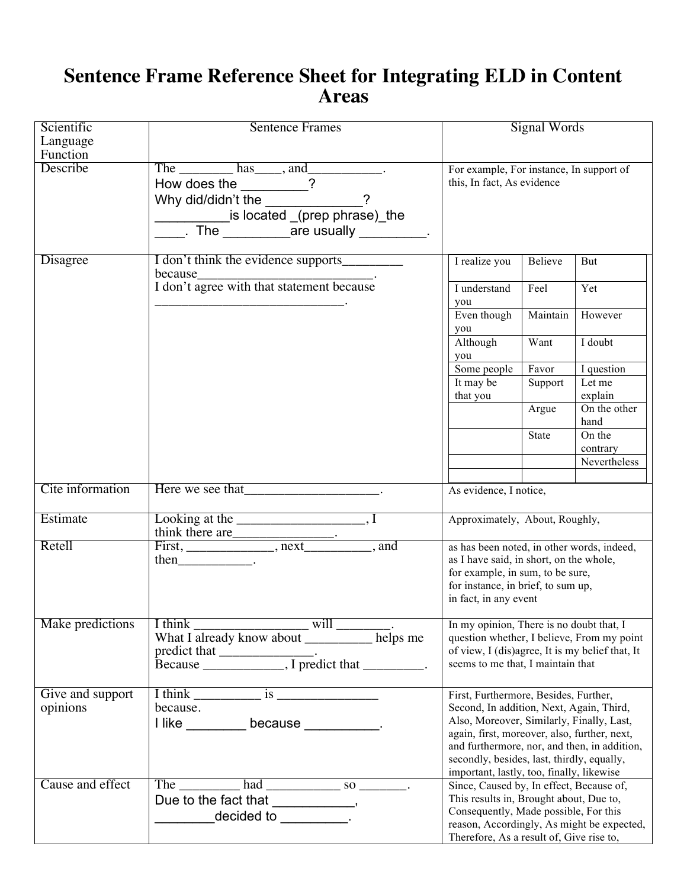## **Sentence Frame Reference Sheet for Integrating ELD in Content Areas**

| Scientific<br>Language       | <b>Sentence Frames</b>                                                                                                                                                                                                          | <b>Signal Words</b>                                                                                                                                                                                                                                                                                                       |              |                          |
|------------------------------|---------------------------------------------------------------------------------------------------------------------------------------------------------------------------------------------------------------------------------|---------------------------------------------------------------------------------------------------------------------------------------------------------------------------------------------------------------------------------------------------------------------------------------------------------------------------|--------------|--------------------------|
| Function                     |                                                                                                                                                                                                                                 |                                                                                                                                                                                                                                                                                                                           |              |                          |
| Describe                     | The $\_\_\_\$ has $\_\_\$ and $\_\_\_\_\$ .<br>How does the ________?<br>is located (prep phrase) the<br>$\frac{1}{\sqrt{1-\frac{1}{2}}}$ . The $\frac{1}{\sqrt{1-\frac{1}{2}}}$ are usually $\frac{1}{\sqrt{1-\frac{1}{2}}}$ . | For example, For instance, In support of<br>this, In fact, As evidence                                                                                                                                                                                                                                                    |              |                          |
| Disagree                     | I don't think the evidence supports                                                                                                                                                                                             | I realize you                                                                                                                                                                                                                                                                                                             | Believe      | But                      |
|                              | because<br>I don't agree with that statement because                                                                                                                                                                            | I understand<br>you                                                                                                                                                                                                                                                                                                       | Feel         | Yet                      |
|                              |                                                                                                                                                                                                                                 | Even though<br>you                                                                                                                                                                                                                                                                                                        | Maintain     | However                  |
|                              |                                                                                                                                                                                                                                 | Although<br>you                                                                                                                                                                                                                                                                                                           | Want         | I doubt                  |
|                              |                                                                                                                                                                                                                                 | Some people                                                                                                                                                                                                                                                                                                               | Favor        | I question               |
|                              |                                                                                                                                                                                                                                 | It may be<br>that you                                                                                                                                                                                                                                                                                                     | Support      | Let me<br>explain        |
|                              |                                                                                                                                                                                                                                 |                                                                                                                                                                                                                                                                                                                           | Argue        | On the other<br>hand     |
|                              |                                                                                                                                                                                                                                 |                                                                                                                                                                                                                                                                                                                           | <b>State</b> | On the                   |
|                              |                                                                                                                                                                                                                                 |                                                                                                                                                                                                                                                                                                                           |              | contrary<br>Nevertheless |
|                              |                                                                                                                                                                                                                                 |                                                                                                                                                                                                                                                                                                                           |              |                          |
| Cite information             | Here we see that The Contract of the Contract of the Contract of the Contract of the Contract of the Contract of the Contract of the Contract of the Contract of the Contract of the Contract of the Contract of the Contract   | As evidence, I notice,                                                                                                                                                                                                                                                                                                    |              |                          |
| Estimate                     |                                                                                                                                                                                                                                 | Approximately, About, Roughly,                                                                                                                                                                                                                                                                                            |              |                          |
| Retell                       | $then$ _________________.                                                                                                                                                                                                       | as has been noted, in other words, indeed,<br>as I have said, in short, on the whole,<br>for example, in sum, to be sure,<br>for instance, in brief, to sum up,<br>in fact, in any event                                                                                                                                  |              |                          |
| Make predictions             | I think will will will will be posited with a linearly know about the linear metal is now about the line of the line of the line of the linear metal is now about the linear metal of the linear metal of the linear metal wit  | In my opinion, There is no doubt that, I<br>question whether, I believe, From my point<br>of view, I (dis)agree, It is my belief that, It<br>seems to me that, I maintain that                                                                                                                                            |              |                          |
| Give and support<br>opinions | $I$ think $\frac{1}{I}$ is $\frac{1}{I}$<br>because.<br>I like ___________ because ____________.                                                                                                                                | First, Furthermore, Besides, Further,<br>Second, In addition, Next, Again, Third,<br>Also, Moreover, Similarly, Finally, Last,<br>again, first, moreover, also, further, next,<br>and furthermore, nor, and then, in addition,<br>secondly, besides, last, thirdly, equally,<br>important, lastly, too, finally, likewise |              |                          |
| Cause and effect             | The $\frac{1}{\sqrt{1-\frac{1}{2}}}\$ had $\frac{1}{\sqrt{1-\frac{1}{2}}}\$ so $\frac{1}{\sqrt{1-\frac{1}{2}}}\$ .<br>Due to the fact that ____________,<br>decided to $\qquad \qquad$ .                                        | Since, Caused by, In effect, Because of,<br>This results in, Brought about, Due to,<br>Consequently, Made possible, For this<br>reason, Accordingly, As might be expected,<br>Therefore, As a result of, Give rise to,                                                                                                    |              |                          |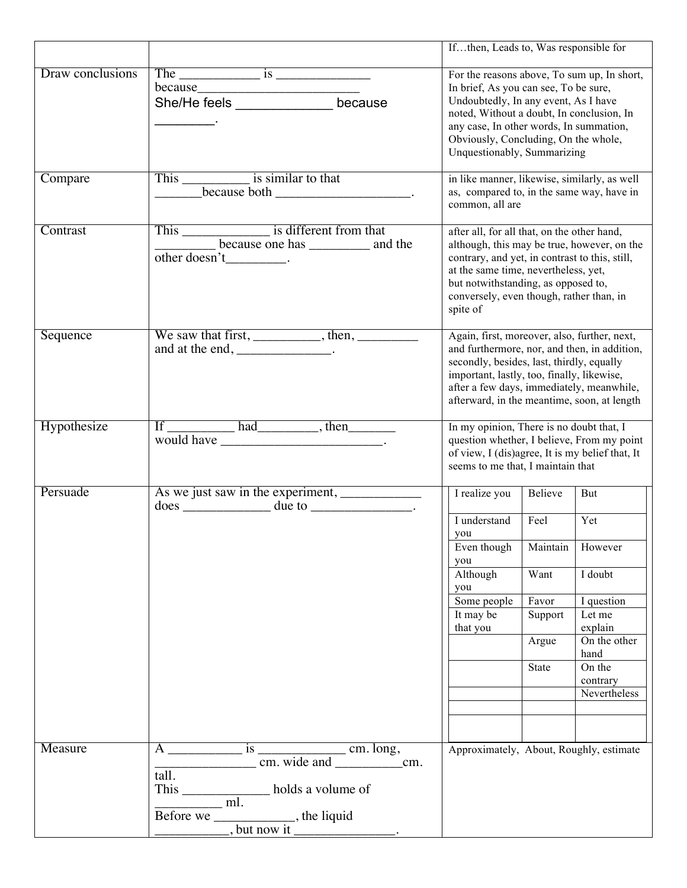|                  |                                                                                                                                                                            | Ifthen, Leads to, Was responsible for                                                                                                                                                                                                                                                       |              |                                    |
|------------------|----------------------------------------------------------------------------------------------------------------------------------------------------------------------------|---------------------------------------------------------------------------------------------------------------------------------------------------------------------------------------------------------------------------------------------------------------------------------------------|--------------|------------------------------------|
| Draw conclusions | She/He feels _________________ because                                                                                                                                     | For the reasons above, To sum up, In short,<br>In brief, As you can see, To be sure,<br>Undoubtedly, In any event, As I have<br>noted, Without a doubt, In conclusion, In<br>any case, In other words, In summation,<br>Obviously, Concluding, On the whole,<br>Unquestionably, Summarizing |              |                                    |
| Compare          | This ___________________ is similar to that<br><b>Contract</b>                                                                                                             | in like manner, likewise, similarly, as well<br>as, compared to, in the same way, have in<br>common, all are                                                                                                                                                                                |              |                                    |
| Contrast         | other doesn't .                                                                                                                                                            | after all, for all that, on the other hand,<br>although, this may be true, however, on the<br>contrary, and yet, in contrast to this, still,<br>at the same time, nevertheless, yet,<br>but notwithstanding, as opposed to,<br>conversely, even though, rather than, in<br>spite of         |              |                                    |
| Sequence         | We saw that first, __________, then, _________<br>and at the end, _______________.                                                                                         | Again, first, moreover, also, further, next,<br>and furthermore, nor, and then, in addition,<br>secondly, besides, last, thirdly, equally<br>important, lastly, too, finally, likewise,<br>after a few days, immediately, meanwhile,<br>afterward, in the meantime, soon, at length         |              |                                    |
| Hypothesize      | If had had, then                                                                                                                                                           | In my opinion, There is no doubt that, I<br>question whether, I believe, From my point<br>of view, I (dis)agree, It is my belief that, It<br>seems to me that, I maintain that                                                                                                              |              |                                    |
| Persuade         | $does \_\_$ due to $\_\_$ .                                                                                                                                                | I realize you                                                                                                                                                                                                                                                                               | Believe      | But<br>Yet                         |
|                  |                                                                                                                                                                            | I understand<br>you                                                                                                                                                                                                                                                                         | Feel         |                                    |
|                  |                                                                                                                                                                            | Even though<br>you                                                                                                                                                                                                                                                                          | Maintain     | However                            |
|                  |                                                                                                                                                                            | Although<br>you                                                                                                                                                                                                                                                                             | Want         | I doubt                            |
|                  |                                                                                                                                                                            | Some people                                                                                                                                                                                                                                                                                 | Favor        | I question                         |
|                  |                                                                                                                                                                            | It may be<br>that you                                                                                                                                                                                                                                                                       | Support      | Let me<br>explain                  |
|                  |                                                                                                                                                                            |                                                                                                                                                                                                                                                                                             | Argue        | On the other<br>hand               |
|                  |                                                                                                                                                                            |                                                                                                                                                                                                                                                                                             | <b>State</b> | On the<br>contrary<br>Nevertheless |
|                  |                                                                                                                                                                            |                                                                                                                                                                                                                                                                                             |              |                                    |
| Measure          |                                                                                                                                                                            | Approximately, About, Roughly, estimate                                                                                                                                                                                                                                                     |              |                                    |
|                  | tall.<br>This $\frac{1}{\frac{1}{2} + \frac{1}{2} + \frac{1}{2}}$ holds a volume of<br>Before we $\underbrace{\hspace{2cm}}$ mu.<br>but now it $\underbrace{\hspace{2cm}}$ |                                                                                                                                                                                                                                                                                             |              |                                    |